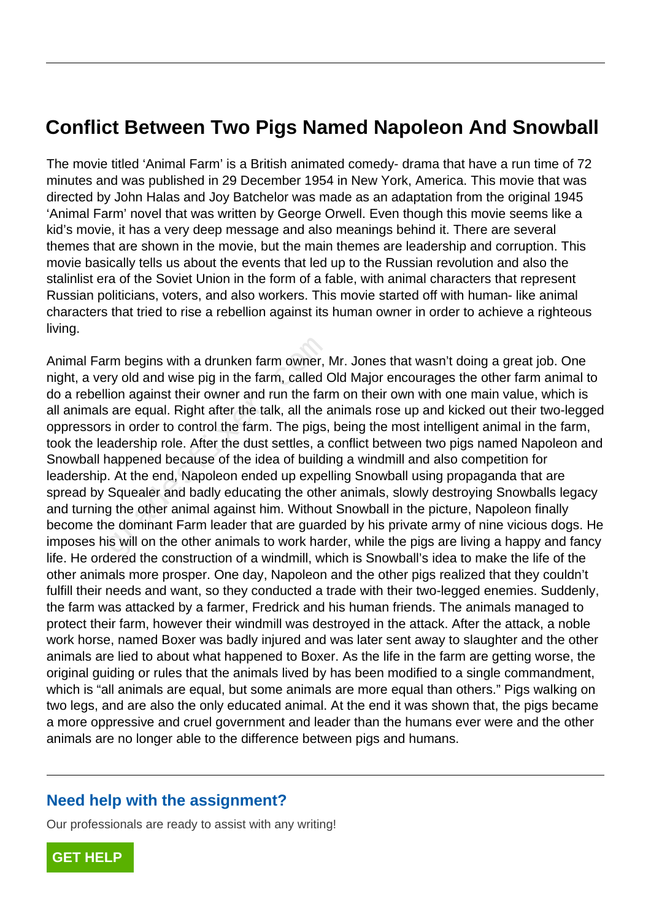## **Conflict Between Two Pigs Named Napoleon And Snowball**

The movie titled 'Animal Farm' is a British animated comedy- drama that have a run time of 72 minutes and was published in 29 December 1954 in New York, America. This movie that was directed by John Halas and Joy Batchelor was made as an adaptation from the original 1945 'Animal Farm' novel that was written by George Orwell. Even though this movie seems like a kid's movie, it has a very deep message and also meanings behind it. There are several themes that are shown in the movie, but the main themes are leadership and corruption. This movie basically tells us about the events that led up to the Russian revolution and also the stalinlist era of the Soviet Union in the form of a fable, with animal characters that represent Russian politicians, voters, and also workers. This movie started off with human- like animal characters that tried to rise a rebellion against its human owner in order to achieve a righteous living.

Animal Farm begins with a drunken farm owner, Mr. Jones that wasn't doing a great job. One night, a very old and wise pig in the farm, called Old Major encourages the other farm animal to do a rebellion against their owner and run the farm on their own with one main value, which is all animals are equal. Right after the talk, all the animals rose up and kicked out their two-legged oppressors in order to control the farm. The pigs, being the most intelligent animal in the farm, took the leadership role. After the dust settles, a conflict between two pigs named Napoleon and Snowball happened because of the idea of building a windmill and also competition for leadership. At the end, Napoleon ended up expelling Snowball using propaganda that are spread by Squealer and badly educating the other animals, slowly destroying Snowballs legacy and turning the other animal against him. Without Snowball in the picture, Napoleon finally become the dominant Farm leader that are guarded by his private army of nine vicious dogs. He imposes his will on the other animals to work harder, while the pigs are living a happy and fancy life. He ordered the construction of a windmill, which is Snowball's idea to make the life of the other animals more prosper. One day, Napoleon and the other pigs realized that they couldn't fulfill their needs and want, so they conducted a trade with their two-legged enemies. Suddenly, the farm was attacked by a farmer, Fredrick and his human friends. The animals managed to protect their farm, however their windmill was destroyed in the attack. After the attack, a noble work horse, named Boxer was badly injured and was later sent away to slaughter and the other animals are lied to about what happened to Boxer. As the life in the farm are getting worse, the original guiding or rules that the animals lived by has been modified to a single commandment, which is "all animals are equal, but some animals are more equal than others." Pigs walking on two legs, and are also the only educated animal. At the end it was shown that, the pigs became a more oppressive and cruel government and leader than the humans ever were and the other animals are no longer able to the difference between pigs and humans. rm begins with a drunken farm owner, I<br>ry old and wise pig in the farm, called (<br>lion against their owner and run the farm<br>are equal. Right after the talk, all the a<br>s in order to control the farm. The pigs,<br>adership role.

## **Need help with the assignment?**

Our professionals are ready to assist with any writing!

**[GET HELP](https://my.gradesfixer.com/order?utm_campaign=pdf_sample)**